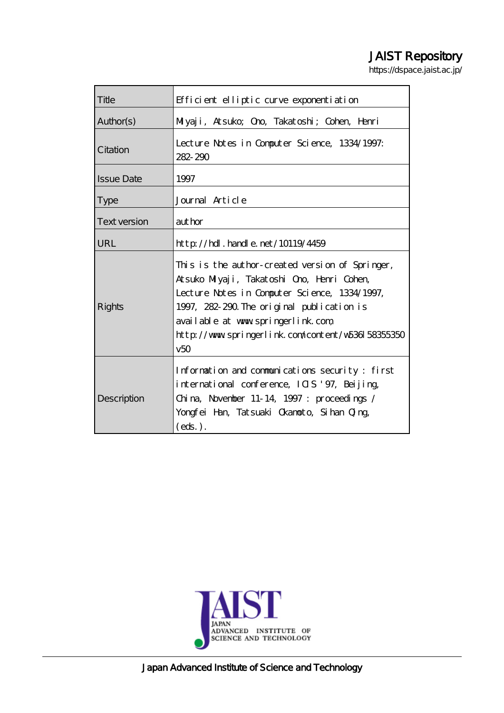# JAIST Repository

https://dspace.jaist.ac.jp/

| Title               | Efficient elliptic curve exponentiation                                                                                                                                                                                                                                                        |
|---------------------|------------------------------------------------------------------------------------------------------------------------------------------------------------------------------------------------------------------------------------------------------------------------------------------------|
| Author(s)           | Milyaji, Atsuko; Ono, Takatoshi; Cohen, Henri                                                                                                                                                                                                                                                  |
| Citation            | Lecture Notes in Computer Science, 1334/1997.<br>282-290                                                                                                                                                                                                                                       |
| <b>Issue Date</b>   | 1997                                                                                                                                                                                                                                                                                           |
| <b>Type</b>         | Journal Article                                                                                                                                                                                                                                                                                |
| <b>Text version</b> | aut hor                                                                                                                                                                                                                                                                                        |
| URL                 | $http$ // $hdl$ . handle. net/10119/4459                                                                                                                                                                                                                                                       |
| Rights              | This is the author-created version of Springer,<br>Atsuko Milyaji, Takatoshi Ono, Henri Cohen,<br>Lecture Notes in Computer Science, 1334/1997,<br>1997, 282-290. The original publication is<br>available at www.springerlink.com<br>http://www.springerlink.com/content/w536158355350<br>v50 |
| Description         | Information and communications security: first<br>international conference, ICIS '97, Beijing,<br>China, November 11-14, 1997 : proceedings /<br>Yongfei Han, Tatsuaki Okanoto, Sihan Qing,<br>$(\text{eds.})$ .                                                                               |

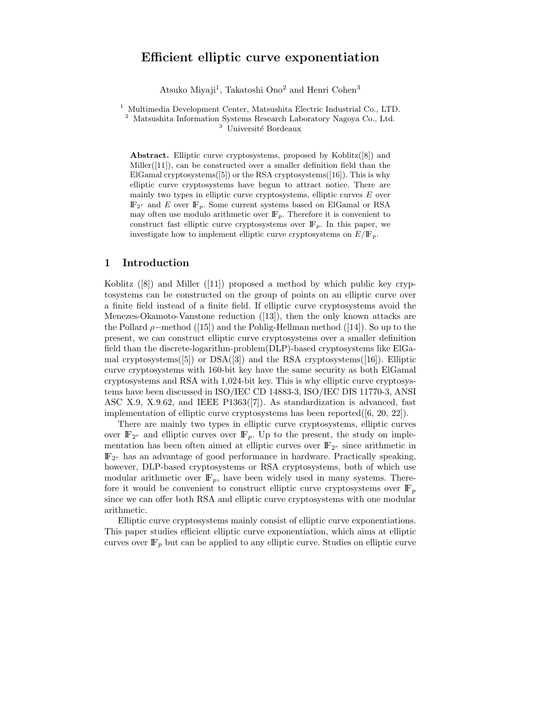# **Efficient elliptic curve exponentiation**

Atsuko Miyaji<sup>1</sup>, Takatoshi Ono<sup>2</sup> and Henri Cohen<sup>3</sup>

<sup>1</sup> Multimedia Development Center, Matsushita Electric Industrial Co., LTD.  $^{\rm 2}$  Matsushita Information Systems Research Laboratory Nagoya Co., Ltd.  $3$  Université Bordeaux

**Abstract.** Elliptic curve cryptosystems, proposed by Koblitz([8]) and Miller([11]), can be constructed over a smaller definition field than the ElGamal cryptosystems $([5])$  or the RSA cryptosystems $([16])$ . This is why elliptic curve cryptosystems have begun to attract notice. There are mainly two types in elliptic curve cryptosystems, elliptic curves *E* over  $\mathbb{F}_{2^r}$  and *E* over  $\mathbb{F}_p$ . Some current systems based on ElGamal or RSA may often use modulo arithmetic over  $\mathbb{F}_p$ . Therefore it is convenient to construct fast elliptic curve cryptosystems over  $\mathbb{F}_p$ . In this paper, we investigate how to implement elliptic curve cryptosystems on  $E/\mathbb{F}_p$ .

## **1 Introduction**

Koblitz ([8]) and Miller ([11]) proposed a method by which public key cryptosystems can be constructed on the groupof points on an elliptic curve over a finite field instead of a finite field. If elliptic curve cryptosystems avoid the Menezes-Okamoto-Vanstone reduction ([13]), then the only known attacks are the Pollard  $\rho$ –method ([15]) and the Pohlig-Hellman method ([14]). So up to the present, we can construct elliptic curve cryptosystems over a smaller definition field than the discrete-logarithm-problem(DLP)-based cryptosystems like ElGamal cryptosystems $([5])$  or DSA $([3])$  and the RSA cryptosystems $([16])$ . Elliptic curve cryptosystems with 160-bit key have the same security as both ElGamal cryptosystems and RSA with 1,024-bit key. This is why elliptic curve cryptosystems have been discussed in ISO/IEC CD 14883-3, ISO/IEC DIS 11770-3, ANSI ASC X.9, X.9.62, and IEEE P1363([7]). As standardization is advanced, fast implementation of elliptic curve cryptosystems has been reported $([6, 20, 22])$ .

There are mainly two types in elliptic curve cryptosystems, elliptic curves over  $\mathbb{F}_{2^r}$  and elliptic curves over  $\mathbb{F}_p$ . Up to the present, the study on implementation has been often aimed at elliptic curves over  $\mathbb{F}_{2^r}$  since arithmetic in IF2*<sup>r</sup>* has an advantage of good performance in hardware. Practically speaking, however, DLP-based cryptosystems or RSA cryptosystems, both of which use modular arithmetic over  $\mathbb{F}_p$ , have been widely used in many systems. Therefore it would be convenient to construct elliptic curve cryptosystems over  $\mathbb{F}_p$ since we can offer both RSA and elliptic curve cryptosystems with one modular arithmetic.

Elliptic curve cryptosystems mainly consist of elliptic curve exponentiations. This paper studies efficient elliptic curve exponentiation, which aims at elliptic curves over  $\mathbb{F}_p$  but can be applied to any elliptic curve. Studies on elliptic curve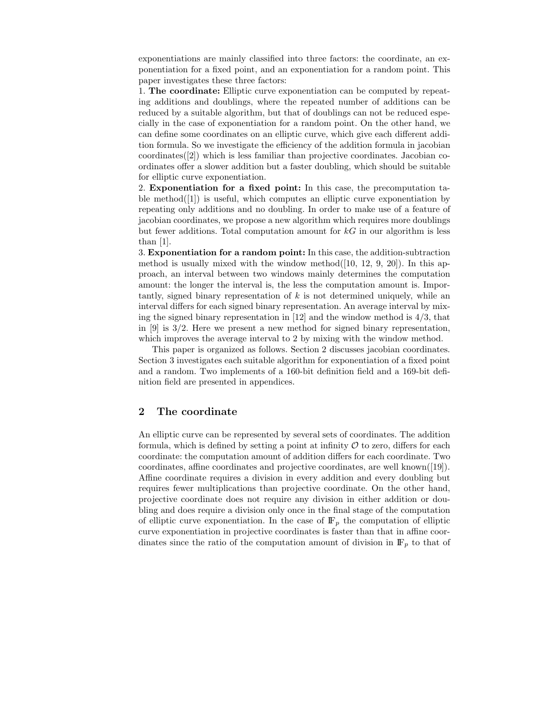exponentiations are mainly classified into three factors: the coordinate, an exponentiation for a fixed point, and an exponentiation for a random point. This paper investigates these three factors:

1. **The coordinate:** Elliptic curve exponentiation can be computed by repeating additions and doublings, where the repeated number of additions can be reduced by a suitable algorithm, but that of doublings can not be reduced especially in the case of exponentiation for a random point. On the other hand, we can define some coordinates on an elliptic curve, which give each different addition formula. So we investigate the efficiency of the addition formula in jacobian coordinates([2]) which is less familiar than projective coordinates. Jacobian coordinates offer a slower addition but a faster doubling, which should be suitable for elliptic curve exponentiation.

2. **Exponentiation for a fixed point:** In this case, the precomputation table method $([1])$  is useful, which computes an elliptic curve exponentiation by repeating only additions and no doubling. In order to make use of a feature of jacobian coordinates, we propose a new algorithm which requires more doublings but fewer additions. Total computation amount for  $kG$  in our algorithm is less than [1].

3. **Exponentiation for a random point:** In this case, the addition-subtraction method is usually mixed with the window method $([10, 12, 9, 20])$ . In this approach, an interval between two windows mainly determines the computation amount: the longer the interval is, the less the computation amount is. Importantly, signed binary representation of  $k$  is not determined uniquely, while an interval differs for each signed binary representation. An average interval by mixing the signed binary representation in  $[12]$  and the window method is  $4/3$ , that in [9] is 3/2. Here we present a new method for signed binary representation, which improves the average interval to 2 by mixing with the window method.

This paper is organized as follows. Section 2 discusses jacobian coordinates. Section 3 investigates each suitable algorithm for exponentiation of a fixed point and a random. Two implements of a 160-bit definition field and a 169-bit definition field are presented in appendices.

## **2 The coordinate**

An elliptic curve can be represented by several sets of coordinates. The addition formula, which is defined by setting a point at infinity  $\mathcal O$  to zero, differs for each coordinate: the computation amount of addition differs for each coordinate. Two coordinates, affine coordinates and projective coordinates, are well known([19]). Affine coordinate requires a division in every addition and every doubling but requires fewer multiplications than projective coordinate. On the other hand, projective coordinate does not require any division in either addition or doubling and does require a division only once in the final stage of the computation of elliptic curve exponentiation. In the case of  $\mathbb{F}_p$  the computation of elliptic curve exponentiation in projective coordinates is faster than that in affine coordinates since the ratio of the computation amount of division in  $\mathbb{F}_p$  to that of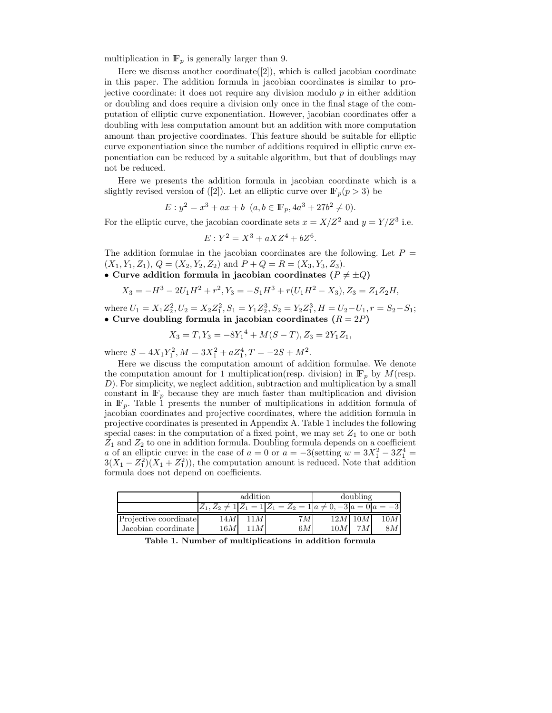multiplication in  $\mathbb{F}_p$  is generally larger than 9.

Here we discuss another coordinate([2]), which is called jacobian coordinate in this paper. The addition formula in jacobian coordinates is similar to projective coordinate: it does not require any division modulo  $p$  in either addition or doubling and does require a division only once in the final stage of the computation of elliptic curve exponentiation. However, jacobian coordinates offer a doubling with less computation amount but an addition with more computation amount than projective coordinates. This feature should be suitable for elliptic curve exponentiation since the number of additions required in elliptic curve exponentiation can be reduced by a suitable algorithm, but that of doublings may not be reduced.

Here we presents the addition formula in jacobian coordinate which is a slightly revised version of ([2]). Let an elliptic curve over  $\mathbb{F}_p(p > 3)$  be

 $E: y^2 = x^3 + ax + b$   $(a, b \in \mathbb{F}_n, 4a^3 + 27b^2 \neq 0).$ 

For the elliptic curve, the jacobian coordinate sets  $x = X/Z^2$  and  $y = Y/Z^3$  i.e.

$$
E: Y^2 = X^3 + aXZ^4 + bZ^6.
$$

The addition formulae in the jacobian coordinates are the following. Let  $P =$  $(X_1, Y_1, Z_1), Q = (X_2, Y_2, Z_2)$  and  $P + Q = R = (X_3, Y_3, Z_3).$ 

• Curve addition formula in jacobian coordinates  $(P \neq \pm Q)$ 

$$
X_3 = -H^3 - 2U_1H^2 + r^2, Y_3 = -S_1H^3 + r(U_1H^2 - X_3), Z_3 = Z_1Z_2H,
$$

where  $U_1 = X_1 Z_2^2$ ,  $U_2 = X_2 Z_1^2$ ,  $S_1 = Y_1 Z_2^3$ ,  $S_2 = Y_2 Z_1^3$ ,  $H = U_2 - U_1$ ,  $r = S_2 - S_1$ ;<br>• Curve doubling formula in iacobian coordinates  $(R - 2P)$ • Curve doubling formula in jacobian coordinates  $(R = 2P)$ 

$$
X_3 = T, Y_3 = -8Y_1^4 + M(S - T), Z_3 = 2Y_1Z_1,
$$

where  $S = 4X_1Y_1^2$ ,  $M = 3X_1^2 + aZ_1^4$ ,  $T = -2S + M^2$ .

Here we discuss the computation amount of addition formulae. We denote the computation amount for 1 multiplication(resp. division) in  $\mathbb{F}_p$  by  $M$ (resp. D). For simplicity, we neglect addition, subtraction and multiplication by a small constant in  $\mathbb{F}_p$  because they are much faster than multiplication and division in  $\mathbb{F}_p$ . Table 1 presents the number of multiplications in addition formula of jacobian coordinates and projective coordinates, where the addition formula in projective coordinates is presented in Appendix A. Table 1 includes the following special cases: in the computation of a fixed point, we may set  $Z_1$  to one or both  $Z_1$  and  $Z_2$  to one in addition formula. Doubling formula depends on a coefficient a of an elliptic curve: in the case of  $a = 0$  or  $a = -3$ (setting  $w = 3X_1^2 - 3Z_1^4 = 3(X_1 - Z_1^2)(X_1 + Z_1^2)$ ) the computation amount is reduced. Note that addition  $3(X_1 - Z_1^2)(X_1 + Z_1^2)$ , the computation amount is reduced. Note that addition formula does not depend on coefficients formula does not depend on coefficients.

|                       | addition |                  |                                                                                | doubling |              |     |
|-----------------------|----------|------------------|--------------------------------------------------------------------------------|----------|--------------|-----|
|                       |          |                  | $ Z_1, Z_2 \neq 1   Z_1 = 1   Z_1 = Z_2 = 1   a \neq 0, -3   a = 0   a = -3  $ |          |              |     |
| Projective coordinate | 14M      | 11 M             | 7M                                                                             |          | $12M$ 10 $M$ | 10M |
| Jacobian coordinate   | 16 M     | $\boldsymbol{M}$ | 6M                                                                             | 10M      | 7 M          | 8M  |

**Table 1. Number of multiplications in addition formula**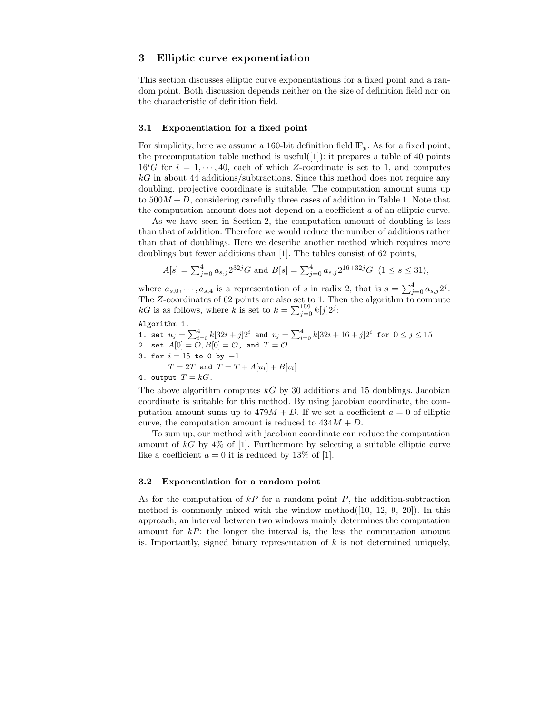## **3 Elliptic curve exponentiation**

This section discusses elliptic curve exponentiations for a fixed point and a random point. Both discussion depends neither on the size of definition field nor on the characteristic of definition field.

#### **3.1 Exponentiation for a fixed point**

For simplicity, here we assume a 160-bit definition field  $\mathbb{F}_p$ . As for a fixed point, the precomputation table method is useful([1]): it prepares a table of 40 points  $16^{i}G$  for  $i = 1, \dots, 40$ , each of which Z-coordinate is set to 1, and computes  $kG$  in about 44 additions (subtractions. Since this method does not require any  $kG$  in about 44 additions/subtractions. Since this method does not require any doubling, projective coordinate is suitable. The computation amount sums up to  $500M + D$ , considering carefully three cases of addition in Table 1. Note that the computation amount does not depend on a coefficient a of an elliptic curve.

As we have seen in Section 2, the computation amount of doubling is less than that of addition. Therefore we would reduce the number of additions rather than that of doublings. Here we describe another method which requires more doublings but fewer additions than [1]. The tables consist of 62 points,

$$
A[s] = \sum_{j=0}^{4} a_{s,j} 2^{32j} G \text{ and } B[s] = \sum_{j=0}^{4} a_{s,j} 2^{16+32j} G \ (1 \le s \le 31),
$$

where  $a_{s,0}, \dots, a_{s,4}$  is a representation of s in radix 2, that is  $s = \sum_{j=0}^{4} a_{s,j} 2^j$ .<br>The Z-coordinates of 62 points are also set to 1. Then the algorithm to compute The Z-coordinates of 62 points are also set to 1. Then the algorithm to compute  $kG$  is as follows, where k is set to  $k = \sum_{i=1}^{159} k(i)2i$ .  $kG$  is as follows, where k is set to  $k = \sum_{j=0}^{159} k[j]2^j$ :

Algorithm 1.

1. set 
$$
u_j = \sum_{i=0}^4 k[32i + j]2^i
$$
 and  $v_j = \sum_{i=0}^4 k[32i + 16 + j]2^i$  for  $0 \le j \le 15$   
\n2. set  $A[0] = \mathcal{O}, B[0] = \mathcal{O}$ , and  $T = \mathcal{O}$   
\n3. for  $i = 15$  to 0 by  $-1$   
\n $T = 2T$  and  $T = T + A[u_i] + B[v_i]$   
\n4. output  $T = kG$ .

The above algorithm computes  $kG$  by 30 additions and 15 doublings. Jacobian coordinate is suitable for this method. By using jacobian coordinate, the computation amount sums up to  $479M + D$ . If we set a coefficient  $a = 0$  of elliptic curve, the computation amount is reduced to  $434M + D$ .

To sum up, our method with jacobian coordinate can reduce the computation amount of  $kG$  by  $4\%$  of [1]. Furthermore by selecting a suitable elliptic curve like a coefficient  $a = 0$  it is reduced by 13% of [1].

#### **3.2 Exponentiation for a random point**

As for the computation of  $kP$  for a random point  $P$ , the addition-subtraction method is commonly mixed with the window method $([10, 12, 9, 20])$ . In this approach, an interval between two windows mainly determines the computation amount for  $kP$ : the longer the interval is, the less the computation amount is. Importantly, signed binary representation of  $k$  is not determined uniquely,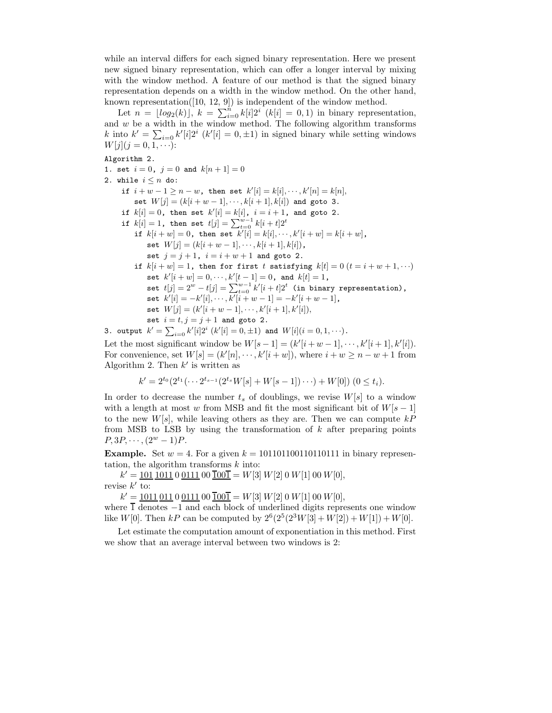while an interval differs for each signed binary representation. Here we present new signed binary representation, which can offer a longer interval by mixing with the window method. A feature of our method is that the signed binary representation depends on a width in the window method. On the other hand, known representation([10, 12, 9]) is independent of the window method.

Let  $n = \lfloor log_2(k) \rfloor$ ,  $k = \sum_{i=0}^{n} k[i]2^{i}$  ( $k[i] = 0, 1$ ) in binary representation, and  $w$  be a width in the window method. The following algorithm transforms k into  $k' = \sum_{i=0} k'[i]2^i$  ( $k'[i] = 0, \pm 1$ ) in signed binary while setting windows  $W[i](i = 0, 1, \ldots)$ .  $W[j](j = 0, 1, \cdots)$ :

#### Algorithm 2.

1. set  $i = 0$ ,  $j = 0$  and  $k[n + 1] = 0$ 2. while  $i \leq n$  do: if  $i + w - 1 \ge n - w$ , then set  $k'[i] = k[i], \dots, k'[n] = k[n],$ set  $W[j] = (k[i + w - 1], \dots, k[i + 1], k[i])$  and goto 3. if  $k[i] = 0$ , then set  $k'[i] = k[i]$ ,  $i = i + 1$ , and goto 2. if  $k[i] = 1$ , then set  $t[j] = \sum_{t=0}^{w-1} k[i+t]2^t$ if  $k[i + w] = 0$ , then set  $k'[i] = k[i], \dots, k'[i+w] = k[i+w]$ , set  $W[j] = (k[i + w - 1], \dots, k[i + 1], k[i]),$ set  $j = j + 1$ ,  $i = i + w + 1$  and goto 2. if  $k[i+w]=1$ , then for first *t* satisfying  $k[t]=0$   $(t=i+w+1,\cdots)$ set  $k'[i+w] = 0, \cdots, k'[t-1] = 0$ , and  $k[t] = 1$ , set  $t[j]=2^w-t[j]=\sum_{t=0}^{w-1}k'[i+t]2^t$  (in binary representation), set  $k'[i] = -k'[i], \dots, k'[i+w-1] = -k'[i+w-1],$ set  $W[j] = (k'[i + w - 1], \dots, k'[i + 1], k'[i]),$ set  $i = t, j = j + 1$  and goto 2. 3. output  $k' = \sum_{i=0} k'[i]2^i$   $(k'[i] = 0, \pm 1)$  and  $W[i](i = 0, 1, \cdots)$ .

Let the most significant window be  $W[s-1] = (k'[i+w-1], \dots, k'[i+1], k'[i])$ .<br>For convenience set  $W[s] = (k'[n] \dots, k'[i+w])$  where  $i + w \ge n - w + 1$  from For convenience, set  $W[s] = (k'[n], \dots, k'[i+w])$ , where  $i + w \ge n - w + 1$  from<br>Algorithm 2. Then  $k'$  is written as Algorithm 2. Then  $k'$  is written as

$$
k' = 2^{t_0} (2^{t_1} (\cdots 2^{t_{s-1}} (2^{t_s} W[s] + W[s-1]) \cdots) + W[0]) \ (0 \le t_i).
$$

In order to decrease the number  $t_s$  of doublings, we revise  $W[s]$  to a window with a length at most w from MSB and fit the most significant bit of  $W[s-1]$ to the new  $W[s]$ , while leaving others as they are. Then we can compute  $kP$ from MSB to LSB by using the transformation of  $k$  after preparing points  $P, 3P, \cdots, (2^w - 1)P.$ 

**Example.** Set  $w = 4$ . For a given  $k = 1011011001101111$  in binary representation, the algorithm transforms  $k$  into:

 $k' = 101 1011 0 0111 00 \overline{1001} = W[3] W[2] 0 W[1] 00 W[0],$ revise  $k'$  to:

 $k' = 1011 011 0 0111 00 \overline{1001} = W[3] W[2] 0 W[1] 00 W[0],$ where  $\overline{1}$  denotes  $-1$  and each block of underlined digits represents one window like W[0]. Then kP can be computed by  $2^{6}(2^{5}(2^{3}W[3] + W[2]) + W[1]) + W[0]$ .

Let estimate the computation amount of exponentiation in this method. First we show that an average interval between two windows is 2: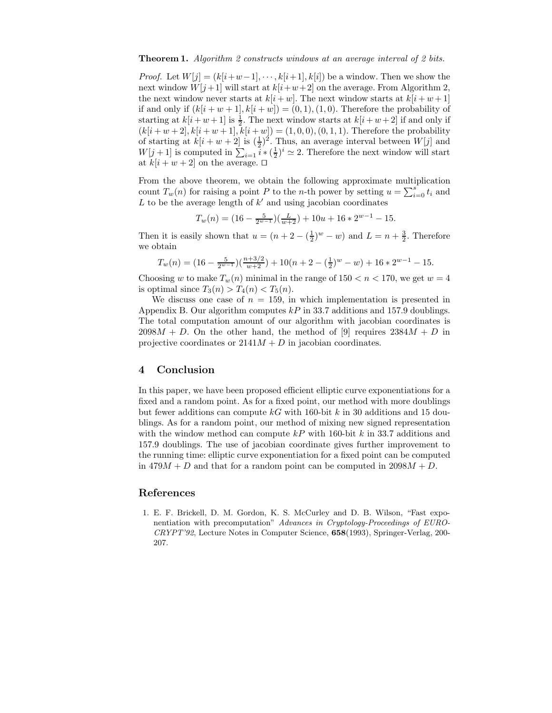#### **Theorem 1.** *Algorithm 2 constructs windows at an average interval of 2 bits.*

*Proof.* Let  $W[j] = (k[i+w-1], \dots, k[i+1], k[i])$  be a window. Then we show the next window  $W[j+1]$  will start at  $k[i+w+2]$  on the average. From Algorithm 2, the next window never starts at  $k[i + w]$ . The next window starts at  $k[i + w + 1]$ if and only if  $(k[i+w+1], k[i+w]) = (0,1), (1,0)$ . Therefore the probability of starting at  $k[i+w+1]$  is  $\frac{1}{2}$ . The next window starts at  $k[i+w+2]$  if and only if  $(k[i+w+2], k[i+w+1], k[i+w]) = (1, 0, 0), (0, 1, 1)$ . Therefore the probability<br>of starting at  $k[i+w+2]$  is  $(\pm)^2$ . Thus, an average interval between  $W[i]$  and of starting at  $k[i + w + 2]$  is  $(\frac{1}{2})^2$ . Thus, an average interval between  $W[j]$  and  $W[i+1]$  is computed in  $\sum_{i}^{k} (\frac{1}{2})^i \sim 2$ . Therefore the next window will start  $W[j+1]$  is computed in  $\sum_{i=1}^{\infty} i * (\frac{1}{2})^i \simeq 2$ . Therefore the next window will start<br>at  $k[i+w+2]$  on the average  $\Box$ at  $k[i + w + 2]$  on the average.  $\square$ 

From the above theorem, we obtain the following approximate multiplication count  $T_w(n)$  for raising a point P to the n-th power by setting  $u = \sum_{i=0}^{s} t_i$  and L to be the average length of k' and using iscobian coordinates  $L$  to be the average length of  $k'$  and using jacobian coordinates

 $T_w(n) = (16 - \frac{5}{2^{w-1}})(\frac{L}{w+2}) + 10u + 16 * 2^{w-1} - 15.$ 

Then it is easily shown that  $u = (n + 2 - (\frac{1}{2})^w - w)$  and  $L = n + \frac{3}{2}$ . Therefore we obtain

$$
T_w(n) = (16 - \frac{5}{2^{w-1}})(\frac{n+3/2}{w+2}) + 10(n+2 - (\frac{1}{2})^w - w) + 16 \cdot 2^{w-1} - 15.
$$

Choosing w to make  $T_w(n)$  minimal in the range of  $150 < n < 170$ , we get  $w = 4$ is optimal since  $T_3(n) > T_4(n) < T_5(n)$ .

We discuss one case of  $n = 159$ , in which implementation is presented in Appendix B. Our algorithm computes  $kP$  in 33.7 additions and 157.9 doublings. The total computation amount of our algorithm with jacobian coordinates is  $2098M + D$ . On the other hand, the method of [9] requires  $2384M + D$  in projective coordinates or  $2141M + D$  in jacobian coordinates.

## **4 Conclusion**

In this paper, we have been proposed efficient elliptic curve exponentiations for a fixed and a random point. As for a fixed point, our method with more doublings but fewer additions can compute  $kG$  with 160-bit k in 30 additions and 15 doublings. As for a random point, our method of mixing new signed representation with the window method can compute  $kP$  with 160-bit k in 33.7 additions and 157.9 doublings. The use of jacobian coordinate gives further improvement to the running time: elliptic curve exponentiation for a fixed point can be computed in  $479M + D$  and that for a random point can be computed in  $2098M + D$ .

## **References**

1. E. F. Brickell, D. M. Gordon, K. S. McCurley and D. B. Wilson, "Fast exponentiation with precomputation" *Advances in Cryptology-Proceedings of EURO-CRYPT'92*, Lecture Notes in Computer Science, **658**(1993), Springer-Verlag, 200- 207.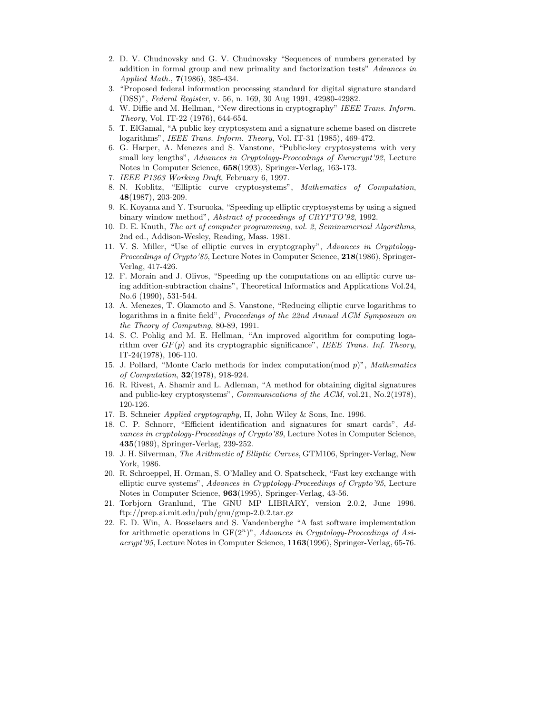- 2. D. V. Chudnovsky and G. V. Chudnovsky "Sequences of numbers generated by addition in formal group and new primality and factorization tests" *Advances in Applied Math.*, **7**(1986), 385-434.
- 3. "Proposed federal information processing standard for digital signature standard (DSS)", *Federal Register*, v. 56, n. 169, 30 Aug 1991, 42980-42982.
- 4. W. Diffie and M. Hellman, "New directions in cryptography" *IEEE Trans. Inform. Theory*, Vol. IT-22 (1976), 644-654.
- 5. T. ElGamal, "A public key cryptosystem and a signature scheme based on discrete logarithms", *IEEE Trans. Inform. Theory*, Vol. IT-31 (1985), 469-472.
- 6. G. Harper, A. Menezes and S. Vanstone, "Public-key cryptosystems with very small key lengths", *Advances in Cryptology-Proceedings of Eurocrypt'92*, Lecture Notes in Computer Science, **658**(1993), Springer-Verlag, 163-173.
- 7. *IEEE P1363 Working Draft*, February 6, 1997.
- 8. N. Koblitz, "Elliptic curve cryptosystems", *Mathematics of Computation*, **48**(1987), 203-209.
- 9. K. Koyama and Y. Tsuruoka, "Speeding up elliptic cryptosystems by using a signed binary window method", *Abstract of proceedings of CRYPTO'92*, 1992.
- 10. D. E. Knuth, *The art of computer programming*, *vol. 2*, *Seminumerical Algorithms*, 2nd ed., Addison-Wesley, Reading, Mass. 1981.
- 11. V. S. Miller, "Use of elliptic curves in cryptography", *Advances in Cryptology-Proceedings of Crypto'85*, Lecture Notes in Computer Science, **218**(1986), Springer-Verlag, 417-426.
- 12. F. Morain and J. Olivos, "Speeding up the computations on an elliptic curve usingaddition-subtraction chains", Theoretical Informatics and Applications Vol.24, No.6 (1990), 531-544.
- 13. A. Menezes, T. Okamoto and S. Vanstone, "Reducingelliptic curve logarithms to logarithms in a finite field", *Proceedings of the 22nd Annual ACM Symposium on the Theory of Computing*, 80-89, 1991.
- 14. S. C. Pohlig and M. E. Hellman, "An improved algorithm for computing logarithm over  $GF(p)$  and its cryptographic significance", *IEEE Trans. Inf. Theory*, IT-24(1978), 106-110.
- 15. J. Pollard, "Monte Carlo methods for index computation(mod *p*)", *Mathematics of Computation*, **32**(1978), 918-924.
- 16. R. Rivest, A. Shamir and L. Adleman, "A method for obtaining digital signatures and public-key cryptosystems", *Communications of the ACM*, vol.21, No.2(1978), 120-126.
- 17. B. Schneier *Applied cryptography*, II, John Wiley & Sons, Inc. 1996.
- 18. C. P. Schnorr, "Efficient identification and signatures for smart cards", *Advances in cryptology-Proceedings of Crypto'89*, Lecture Notes in Computer Science, **435**(1989), Springer-Verlag, 239-252.
- 19. J. H. Silverman, *The Arithmetic of Elliptic Curves*, GTM106, Springer-Verlag, New York, 1986.
- 20. R. Schroeppel, H. Orman, S. O'Malley and O. Spatscheck, "Fast key exchange with elliptic curve systems", *Advances in Cryptology-Proceedings of Crypto'95*, Lecture Notes in Computer Science, **963**(1995), Springer-Verlag, 43-56.
- 21. Torbjorn Granlund, The GNU MP LIBRARY, version 2.0.2, June 1996. ftp://prep.ai.mit.edu/pub/gnu/gmp-2.0.2.tar.gz
- 22. E. D. Win, A. Bosselaers and S. Vandenberghe "A fast software implementation for arithmetic operations in GF(2*<sup>n</sup>*)", *Advances in Cryptology-Proceedings of Asiacrypt'95*, Lecture Notes in Computer Science, **1163**(1996), Springer-Verlag, 65-76.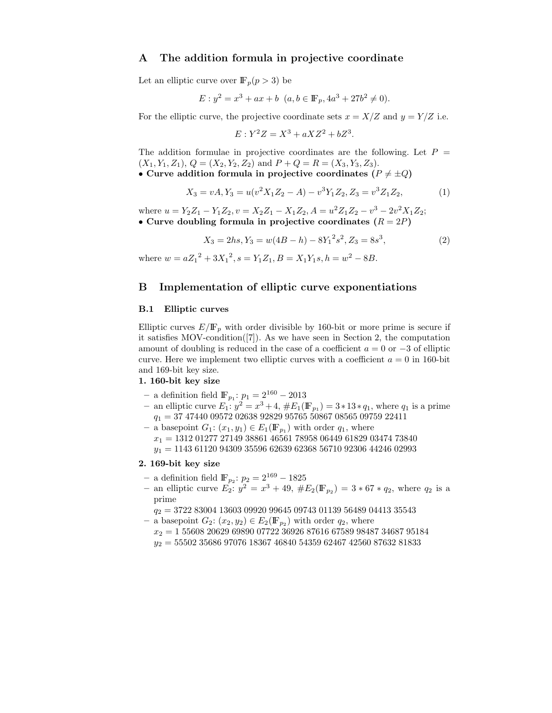## **A The addition formula in projective coordinate**

Let an elliptic curve over  $\mathbb{F}_p(p>3)$  be

$$
E: y^2 = x^3 + ax + b \ \ (a, b \in \mathbb{F}_p, 4a^3 + 27b^2 \neq 0).
$$

For the elliptic curve, the projective coordinate sets  $x = X/Z$  and  $y = Y/Z$  i.e.

$$
E: Y^2 Z = X^3 + aXZ^2 + bZ^3.
$$

The addition formulae in projective coordinates are the following. Let  $P =$  $(X_1, Y_1, Z_1), Q = (X_2, Y_2, Z_2)$  and  $P + Q = R = (X_3, Y_3, Z_3).$ • Curve addition formula in projective coordinates  $(P \neq +Q)$ 

We equation formula in projective coordinates 
$$
(I \neq \pm \sqrt{2})
$$

$$
X_3 = vA, Y_3 = u(v^2 X_1 Z_2 - A) - v^3 Y_1 Z_2, Z_3 = v^3 Z_1 Z_2,
$$
\n(1)

where  $u = Y_2Z_1 - Y_1Z_2$ ,  $v = X_2Z_1 - X_1Z_2$ ,  $A = u^2Z_1Z_2 - v^3 - 2v^2X_1Z_2$ ; • Curve doubling formula in projective coordinates  $(R = 2P)$ 

$$
X_3 = 2hs, Y_3 = w(4B - h) - 8Y_1^2 s^2, Z_3 = 8s^3,
$$
\n(2)

where  $w = aZ_1^2 + 3X_1^2$ ,  $s = Y_1Z_1$ ,  $B = X_1Y_1s$ ,  $h = w^2 - 8B$ .

# **B Implementation of elliptic curve exponentiations**

#### **B.1 Elliptic curves**

Elliptic curves  $E/\mathbb{F}_p$  with order divisible by 160-bit or more prime is secure if it satisfies MOV-condition([7]). As we have seen in Section 2, the computation amount of doubling is reduced in the case of a coefficient  $a = 0$  or  $-3$  of elliptic curve. Here we implement two elliptic curves with a coefficient  $a = 0$  in 160-bit and 169-bit key size.

#### **1. 160-bit key size**

- $−$  a definition field  $\mathbb{F}_{p_1}$ :  $p_1 = 2^{160} 2013$
- **−** an elliptic curve  $E_1: y^2 = x^3 + 4$ ,  $#E_1(\mathbb{F}_{p_1}) = 3 * 13 * q_1$ , where  $q_1$  is a prime  $q_{1} = 37\ 47440\ 09572\ 02638\ 92829\ 95765\ 50867\ 08565\ 09759\ 22411$
- $−$  a basepoint  $G_1$ :  $(x_1, y_1) ∈ E_1(\mathbb{F}_{p_1})$  with order  $q_1$ , where  $x_1 = 1312\ 01277\ 27149\ 38861\ 46561\ 78958\ 06449\ 61829\ 03474\ 73840$  $y_1 = 1143 61120 94309 35596 62639 62368 56710 92306 44246 02993$

#### **2. 169-bit key size**

- **–** a definition field IF*<sup>p</sup>*<sup>2</sup> : <sup>p</sup><sup>2</sup> = 2<sup>169</sup> <sup>−</sup> <sup>1825</sup>
- an elliptic curve  $E_2$ :  $y^2 = x^3 + 49$ ,  $#E_2(\mathbb{F}_{p_2}) = 3 * 67 * q_2$ , where  $q_2$  is a prime

 $q_2 = 3722830041360309920996450974301139564890441335543$ 

- $−$  a basepoint  $G_2$ :  $(x_2, y_2) \in E_2(\mathbb{F}_{p_2})$  with order  $q_2$ , where
	- $x_2 = 1$  55608 20629 69890 07722 36926 87616 67589 98487 34687 95184  $y_2 = 55502\ 35686\ 97076\ 18367\ 46840\ 54359\ 62467\ 42560\ 87632\ 81833$